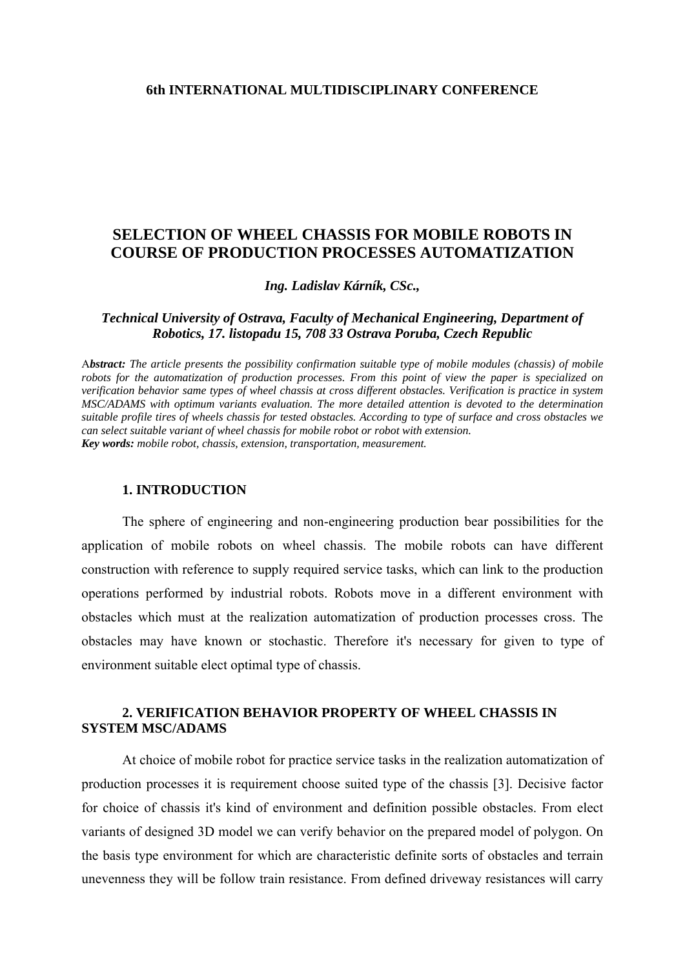## **6th INTERNATIONAL MULTIDISCIPLINARY CONFERENCE**

# **SELECTION OF WHEEL CHASSIS FOR MOBILE ROBOTS IN COURSE OF PRODUCTION PROCESSES AUTOMATIZATION**

*Ing. Ladislav Kárník, CSc.,* 

### *Technical University of Ostrava, Faculty of Mechanical Engineering, Department of Robotics, 17. listopadu 15, 708 33 Ostrava Poruba, Czech Republic*

A*bstract: The article presents the possibility confirmation suitable type of mobile modules (chassis) of mobile robots for the automatization of production processes. From this point of view the paper is specialized on verification behavior same types of wheel chassis at cross different obstacles. Verification is practice in system MSC/ADAMS with optimum variants evaluation. The more detailed attention is devoted to the determination suitable profile tires of wheels chassis for tested obstacles. According to type of surface and cross obstacles we can select suitable variant of wheel chassis for mobile robot or robot with extension. Key words: mobile robot, chassis, extension, transportation, measurement.*

## **1. INTRODUCTION**

 The sphere of engineering and non-engineering production bear possibilities for the application of mobile robots on wheel chassis. The mobile robots can have different construction with reference to supply required service tasks, which can link to the production operations performed by industrial robots. Robots move in a different environment with obstacles which must at the realization automatization of production processes cross. The obstacles may have known or stochastic. Therefore it's necessary for given to type of environment suitable elect optimal type of chassis.

# **2. VERIFICATION BEHAVIOR PROPERTY OF WHEEL CHASSIS IN SYSTEM MSC/ADAMS**

 At choice of mobile robot for practice service tasks in the realization automatization of production processes it is requirement choose suited type of the chassis [3]. Decisive factor for choice of chassis it's kind of environment and definition possible obstacles. From elect variants of designed 3D model we can verify behavior on the prepared model of polygon. On the basis type environment for which are characteristic definite sorts of obstacles and terrain unevenness they will be follow train resistance. From defined driveway resistances will carry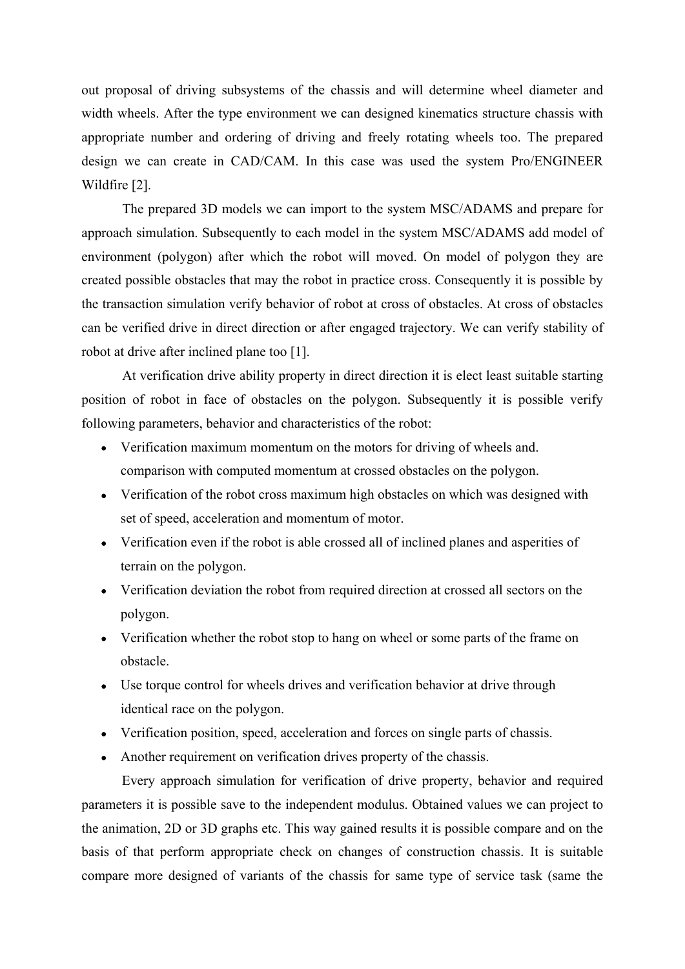out proposal of driving subsystems of the chassis and will determine wheel diameter and width wheels. After the type environment we can designed kinematics structure chassis with appropriate number and ordering of driving and freely rotating wheels too. The prepared design we can create in CAD/CAM. In this case was used the system Pro/ENGINEER Wildfire [2].

The prepared 3D models we can import to the system MSC/ADAMS and prepare for approach simulation. Subsequently to each model in the system MSC/ADAMS add model of environment (polygon) after which the robot will moved. On model of polygon they are created possible obstacles that may the robot in practice cross. Consequently it is possible by the transaction simulation verify behavior of robot at cross of obstacles. At cross of obstacles can be verified drive in direct direction or after engaged trajectory. We can verify stability of robot at drive after inclined plane too [1].

At verification drive ability property in direct direction it is elect least suitable starting position of robot in face of obstacles on the polygon. Subsequently it is possible verify following parameters, behavior and characteristics of the robot:

- Verification maximum momentum on the motors for driving of wheels and. comparison with computed momentum at crossed obstacles on the polygon.
- Verification of the robot cross maximum high obstacles on which was designed with set of speed, acceleration and momentum of motor.
- Verification even if the robot is able crossed all of inclined planes and asperities of terrain on the polygon.
- Verification deviation the robot from required direction at crossed all sectors on the polygon.
- Verification whether the robot stop to hang on wheel or some parts of the frame on obstacle.
- Use torque control for wheels drives and verification behavior at drive through identical race on the polygon.
- Verification position, speed, acceleration and forces on single parts of chassis.
- Another requirement on verification drives property of the chassis.

Every approach simulation for verification of drive property, behavior and required parameters it is possible save to the independent modulus. Obtained values we can project to the animation, 2D or 3D graphs etc. This way gained results it is possible compare and on the basis of that perform appropriate check on changes of construction chassis. It is suitable compare more designed of variants of the chassis for same type of service task (same the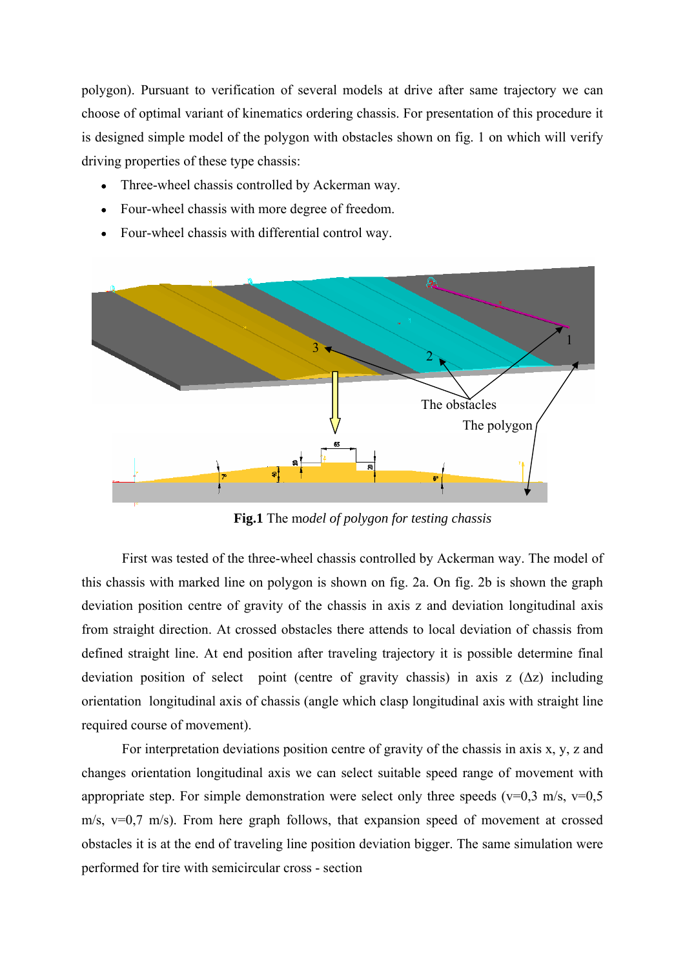polygon). Pursuant to verification of several models at drive after same trajectory we can choose of optimal variant of kinematics ordering chassis. For presentation of this procedure it is designed simple model of the polygon with obstacles shown on fig. 1 on which will verify driving properties of these type chassis:

- Three-wheel chassis controlled by Ackerman way.
- Four-wheel chassis with more degree of freedom.
- Four-wheel chassis with differential control way.



**Fig.1** The m*odel of polygon for testing chassis*

First was tested of the three-wheel chassis controlled by Ackerman way. The model of this chassis with marked line on polygon is shown on fig. 2a. On fig. 2b is shown the graph deviation position centre of gravity of the chassis in axis z and deviation longitudinal axis from straight direction. At crossed obstacles there attends to local deviation of chassis from defined straight line. At end position after traveling trajectory it is possible determine final deviation position of select point (centre of gravity chassis) in axis z  $(\Delta z)$  including orientation longitudinal axis of chassis (angle which clasp longitudinal axis with straight line required course of movement).

For interpretation deviations position centre of gravity of the chassis in axis x, y, z and changes orientation longitudinal axis we can select suitable speed range of movement with appropriate step. For simple demonstration were select only three speeds ( $v=0.3$  m/s,  $v=0.5$ ) m/s, v=0,7 m/s). From here graph follows, that expansion speed of movement at crossed obstacles it is at the end of traveling line position deviation bigger. The same simulation were performed for tire with semicircular cross - section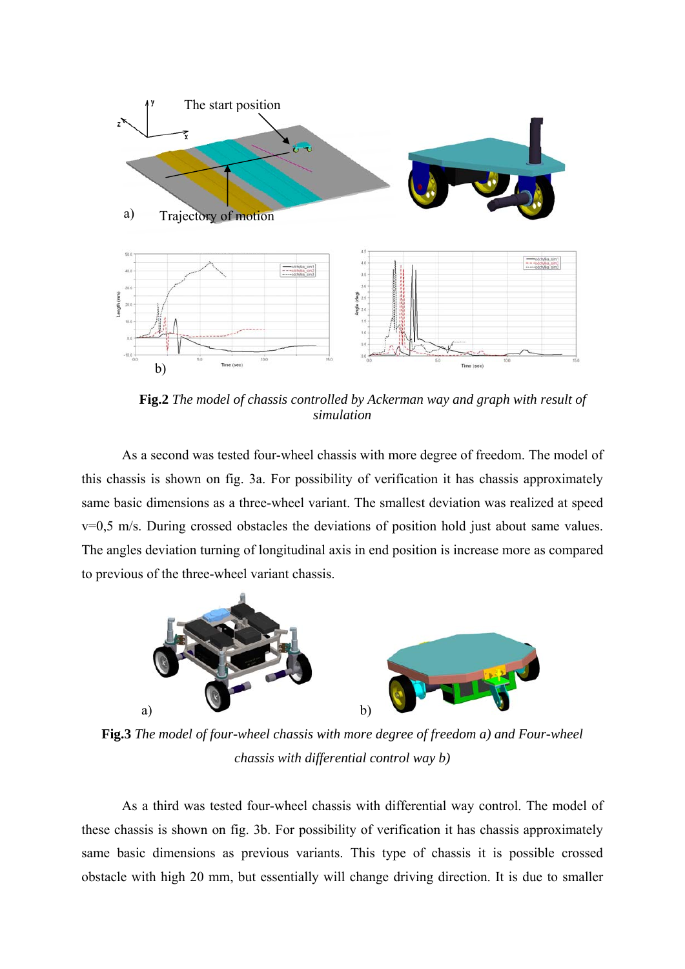

**Fig.2** *The model of chassis controlled by Ackerman way and graph with result of simulation*

As a second was tested four-wheel chassis with more degree of freedom. The model of this chassis is shown on fig. 3a. For possibility of verification it has chassis approximately same basic dimensions as a three-wheel variant. The smallest deviation was realized at speed v=0,5 m/s. During crossed obstacles the deviations of position hold just about same values. The angles deviation turning of longitudinal axis in end position is increase more as compared to previous of the three-wheel variant chassis.



**Fig.3** *The model of four-wheel chassis with more degree of freedom a) and Four-wheel chassis with differential control way b)* 

As a third was tested four-wheel chassis with differential way control. The model of these chassis is shown on fig. 3b. For possibility of verification it has chassis approximately same basic dimensions as previous variants. This type of chassis it is possible crossed obstacle with high 20 mm, but essentially will change driving direction. It is due to smaller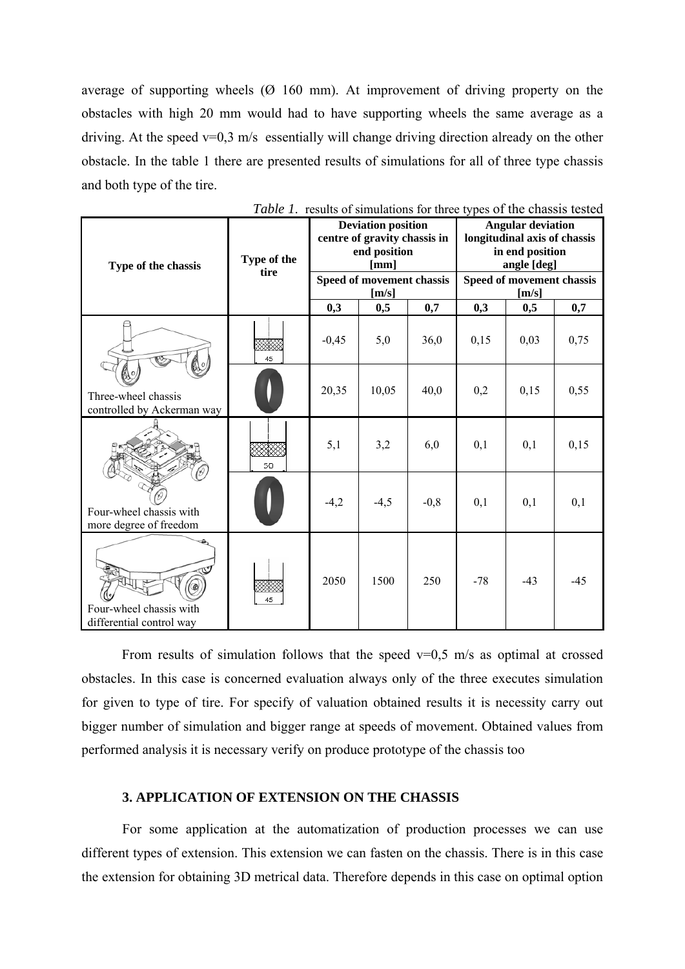average of supporting wheels (Ø 160 mm). At improvement of driving property on the obstacles with high 20 mm would had to have supporting wheels the same average as a driving. At the speed  $v=0.3$  m/s essentially will change driving direction already on the other obstacle. In the table 1 there are presented results of simulations for all of three type chassis and both type of the tire.

| Type of the chassis                                 | Type of the<br>tire | <b>Deviation position</b><br>centre of gravity chassis in<br>end position<br>[mm] |                                    |        | <b>Angular deviation</b><br>longitudinal axis of chassis<br>in end position<br>angle [deg] |       |       |
|-----------------------------------------------------|---------------------|-----------------------------------------------------------------------------------|------------------------------------|--------|--------------------------------------------------------------------------------------------|-------|-------|
|                                                     |                     |                                                                                   | Speed of movement chassis<br>[m/s] |        | Speed of movement chassis<br>[m/s]                                                         |       |       |
|                                                     |                     | 0,3                                                                               | 0,5                                | 0,7    | 0,3                                                                                        | 0,5   | 0,7   |
| Three-wheel chassis<br>controlled by Ackerman way   | 45                  | $-0,45$                                                                           | 5,0                                | 36,0   | 0,15                                                                                       | 0,03  | 0,75  |
|                                                     |                     | 20,35                                                                             | 10,05                              | 40,0   | 0,2                                                                                        | 0,15  | 0,55  |
| Four-wheel chassis with<br>more degree of freedom   | 50                  | 5,1                                                                               | 3,2                                | 6,0    | 0,1                                                                                        | 0,1   | 0,15  |
|                                                     |                     | $-4,2$                                                                            | $-4,5$                             | $-0,8$ | 0,1                                                                                        | 0,1   | 0,1   |
| Four-wheel chassis with<br>differential control way | ,,,,,,,,<br>45      | 2050                                                                              | 1500                               | 250    | $-78$                                                                                      | $-43$ | $-45$ |

| Table 1. results of simulations for three types of the chassis tested |  |  |  |  |  |  |  |  |
|-----------------------------------------------------------------------|--|--|--|--|--|--|--|--|
|-----------------------------------------------------------------------|--|--|--|--|--|--|--|--|

From results of simulation follows that the speed  $v=0.5$  m/s as optimal at crossed obstacles. In this case is concerned evaluation always only of the three executes simulation for given to type of tire. For specify of valuation obtained results it is necessity carry out bigger number of simulation and bigger range at speeds of movement. Obtained values from performed analysis it is necessary verify on produce prototype of the chassis too

#### **3. APPLICATION OF EXTENSION ON THE CHASSIS**

For some application at the automatization of production processes we can use different types of extension. This extension we can fasten on the chassis. There is in this case the extension for obtaining 3D metrical data. Therefore depends in this case on optimal option